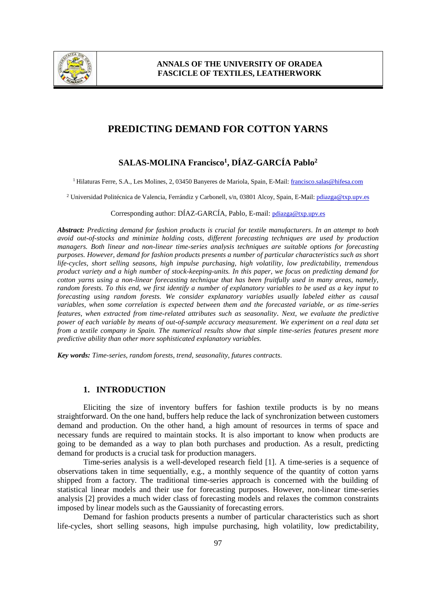

# **PREDICTING DEMAND FOR COTTON YARNS**

# **SALAS-MOLINA Francisco<sup>1</sup> , DÍAZ-GARCÍA Pablo<sup>2</sup>**

<sup>1</sup> Hilaturas Ferre, S.A., Les Molines, 2, 03450 Banyeres de Mariola, Spain, E-Mail: francisco.salas@hifesa.com

<sup>2</sup> Universidad Politécnica de Valencia, Ferrándiz y Carbonell, s/n, 03801 Alcoy, Spain, E-Mail: pdiazga@txp.upv.es

#### Corresponding author: DÍAZ-GARCÍA, Pablo, E-mail: pdiazga@txp.upv.es

*Abstract: Predicting demand for fashion products is crucial for textile manufacturers. In an attempt to both avoid out-of-stocks and minimize holding costs, different forecasting techniques are used by production managers. Both linear and non-linear time-series analysis techniques are suitable options for forecasting purposes. However, demand for fashion products presents a number of particular characteristics such as short life-cycles, short selling seasons, high impulse purchasing, high volatility, low predictability, tremendous product variety and a high number of stock-keeping-units. In this paper, we focus on predicting demand for cotton yarns using a non-linear forecasting technique that has been fruitfully used in many areas, namely, random forests. To this end, we first identify a number of explanatory variables to be used as a key input to forecasting using random forests. We consider explanatory variables usually labeled either as causal variables, when some correlation is expected between them and the forecasted variable, or as time-series features, when extracted from time-related attributes such as seasonality*. *Next, we evaluate the predictive power of each variable by means of out-of-sample accuracy measurement. We experiment on a real data set from a textile company in Spain. The numerical results show that simple time-series features present more predictive ability than other more sophisticated explanatory variables.*

*Key words: Time-series, random forests, trend, seasonality, futures contracts.*

### **1. INTRODUCTION**

Eliciting the size of inventory buffers for fashion textile products is by no means straightforward. On the one hand, buffers help reduce the lack of synchronization between customers demand and production. On the other hand, a high amount of resources in terms of space and necessary funds are required to maintain stocks. It is also important to know when products are going to be demanded as a way to plan both purchases and production. As a result, predicting demand for products is a crucial task for production managers.

Time-series analysis is a well-developed research field [1]. A time-series is a sequence of observations taken in time sequentially, e.g., a monthly sequence of the quantity of cotton yarns shipped from a factory. The traditional time-series approach is concerned with the building of statistical linear models and their use for forecasting purposes. However, non-linear time-series analysis [2] provides a much wider class of forecasting models and relaxes the common constraints imposed by linear models such as the Gaussianity of forecasting errors.

Demand for fashion products presents a number of particular characteristics such as short life-cycles, short selling seasons, high impulse purchasing, high volatility, low predictability,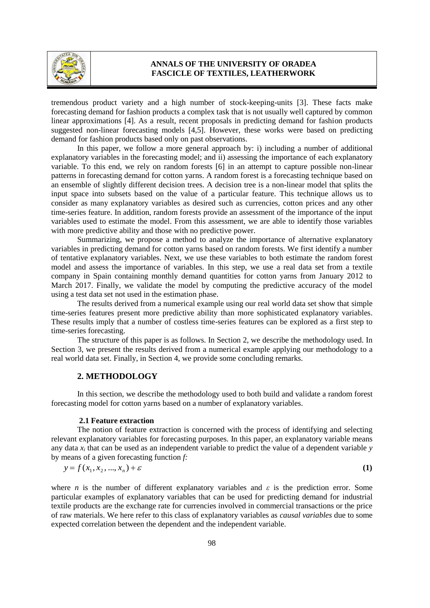

tremendous product variety and a high number of stock-keeping-units [3]. These facts make forecasting demand for fashion products a complex task that is not usually well captured by common linear approximations [4]. As a result, recent proposals in predicting demand for fashion products suggested non-linear forecasting models [4,5]. However, these works were based on predicting demand for fashion products based only on past observations.

In this paper, we follow a more general approach by: i) including a number of additional explanatory variables in the forecasting model; and ii) assessing the importance of each explanatory variable. To this end, we rely on random forests [6] in an attempt to capture possible non-linear patterns in forecasting demand for cotton yarns. A random forest is a forecasting technique based on an ensemble of slightly different decision trees. A decision tree is a non-linear model that splits the input space into subsets based on the value of a particular feature. This technique allows us to consider as many explanatory variables as desired such as currencies, cotton prices and any other time-series feature. In addition, random forests provide an assessment of the importance of the input variables used to estimate the model. From this assessment, we are able to identify those variables with more predictive ability and those with no predictive power.

Summarizing, we propose a method to analyze the importance of alternative explanatory variables in predicting demand for cotton yarns based on random forests. We first identify a number of tentative explanatory variables. Next, we use these variables to both estimate the random forest model and assess the importance of variables. In this step, we use a real data set from a textile company in Spain containing monthly demand quantities for cotton yarns from January 2012 to March 2017. Finally, we validate the model by computing the predictive accuracy of the model using a test data set not used in the estimation phase.

The results derived from a numerical example using our real world data set show that simple time-series features present more predictive ability than more sophisticated explanatory variables. These results imply that a number of costless time-series features can be explored as a first step to time-series forecasting.

The structure of this paper is as follows. In Section 2, we describe the methodology used. In Section 3, we present the results derived from a numerical example applying our methodology to a real world data set. Finally, in Section 4, we provide some concluding remarks.

## **2. METHODOLOGY**

In this section, we describe the methodology used to both build and validate a random forest forecasting model for cotton yarns based on a number of explanatory variables.

#### **2.1 Feature extraction**

The notion of feature extraction is concerned with the process of identifying and selecting relevant explanatory variables for forecasting purposes. In this paper, an explanatory variable means any data *x<sup>i</sup>* that can be used as an independent variable to predict the value of a dependent variable *y* by means of a given forecasting function *f:*

$$
y = f(x_1, x_2, ..., x_n) + \varepsilon
$$
 (1)

where *n* is the number of different explanatory variables and  $\varepsilon$  is the prediction error. Some particular examples of explanatory variables that can be used for predicting demand for industrial textile products are the exchange rate for currencies involved in commercial transactions or the price of raw materials. We here refer to this class of explanatory variables as *causal variables* due to some expected correlation between the dependent and the independent variable.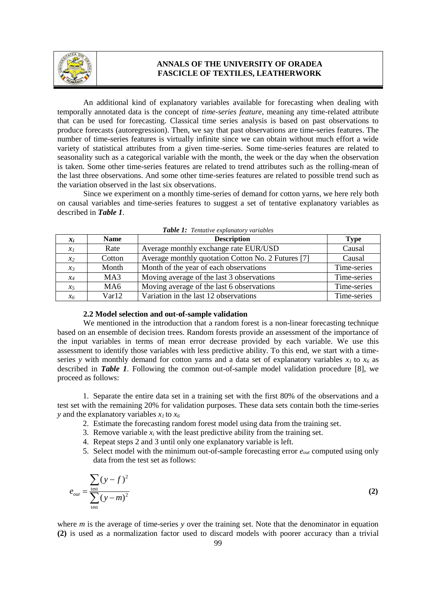

An additional kind of explanatory variables available for forecasting when dealing with temporally annotated data is the concept of *time-series feature*, meaning any time-related attribute that can be used for forecasting. Classical time series analysis is based on past observations to produce forecasts (autoregression). Then, we say that past observations are time-series features. The number of time-series features is virtually infinite since we can obtain without much effort a wide variety of statistical attributes from a given time-series. Some time-series features are related to seasonality such as a categorical variable with the month, the week or the day when the observation is taken. Some other time-series features are related to trend attributes such as the rolling-mean of the last three observations. And some other time-series features are related to possible trend such as the variation observed in the last six observations.

Since we experiment on a monthly time-series of demand for cotton yarns, we here rely both on causal variables and time-series features to suggest a set of tentative explanatory variables as described in *Table 1*.

| $x_i$           | <b>Name</b>     | <b>Description</b>                                 | <b>Type</b> |
|-----------------|-----------------|----------------------------------------------------|-------------|
| $\mathcal{X}_I$ | Rate            | Average monthly exchange rate EUR/USD              | Causal      |
| $x_2$           | Cotton          | Average monthly quotation Cotton No. 2 Futures [7] | Causal      |
| $\chi_3$        | Month           | Month of the year of each observations             | Time-series |
| $x_4$           | MA <sub>3</sub> | Moving average of the last 3 observations          | Time-series |
| $\chi_5$        | MA <sub>6</sub> | Moving average of the last 6 observations          | Time-series |
| $\chi_6$        | Var12           | Variation in the last 12 observations              | Time-series |

### *Table 1: Tentative explanatory variables*

#### **2.2 Model selection and out-of-sample validation**

We mentioned in the introduction that a random forest is a non-linear forecasting technique based on an ensemble of decision trees. Random forests provide an assessment of the importance of the input variables in terms of mean error decrease provided by each variable. We use this assessment to identify those variables with less predictive ability. To this end, we start with a timeseries *y* with monthly demand for cotton yarns and a data set of explanatory variables  $x<sub>1</sub>$  to  $x<sub>6</sub>$  as described in *Table 1*. Following the common out-of-sample model validation procedure [8], we proceed as follows:

1. Separate the entire data set in a training set with the first 80% of the observations and a test set with the remaining 20% for validation purposes. These data sets contain both the time-series *y* and the explanatory variables  $x_1$  to  $x_6$ 

- 2. Estimate the forecasting random forest model using data from the training set.
- 3. Remove variable  $x_i$  with the least predictive ability from the training set.
- 4. Repeat steps 2 and 3 until only one explanatory variable is left.
- 5. Select model with the minimum out-of-sample forecasting error *eout* computed using only data from the test set as follows:

$$
e_{out} = \frac{\sum_{\text{test}} (y - f)^2}{\sum_{\text{test}} (y - m)^2}
$$
 (2)

where *m* is the average of time-series *y* over the training set. Note that the denominator in equation **(2)** is used as a normalization factor used to discard models with poorer accuracy than a trivial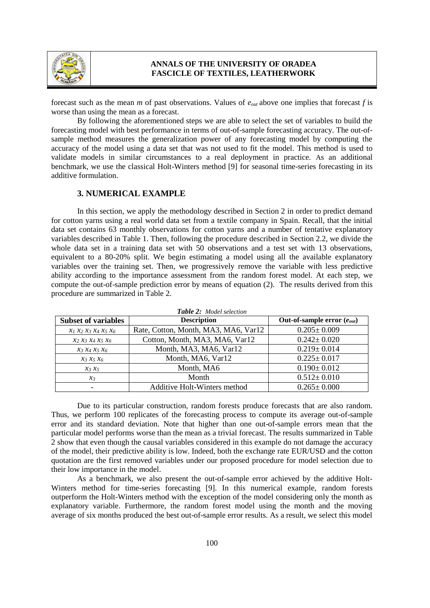

forecast such as the mean *m* of past observations. Values of *eout* above one implies that forecast *f* is worse than using the mean as a forecast.

By following the aforementioned steps we are able to select the set of variables to build the forecasting model with best performance in terms of out-of-sample forecasting accuracy. The out-ofsample method measures the generalization power of any forecasting model by computing the accuracy of the model using a data set that was not used to fit the model. This method is used to validate models in similar circumstances to a real deployment in practice. As an additional benchmark, we use the classical Holt-Winters method [9] for seasonal time-series forecasting in its additive formulation.

# **3. NUMERICAL EXAMPLE**

In this section, we apply the methodology described in Section 2 in order to predict demand for cotton yarns using a real world data set from a textile company in Spain. Recall, that the initial data set contains 63 monthly observations for cotton yarns and a number of tentative explanatory variables described in Table 1. Then, following the procedure described in Section 2.2, we divide the whole data set in a training data set with 50 observations and a test set with 13 observations, equivalent to a 80-20% split. We begin estimating a model using all the available explanatory variables over the training set. Then, we progressively remove the variable with less predictive ability according to the importance assessment from the random forest model. At each step, we compute the out-of-sample prediction error by means of equation (2). The results derived from this procedure are summarized in Table 2.

| <b>Subset of variables</b> | <b>Description</b>                   | Out-of-sample error $(e_{out})$ |
|----------------------------|--------------------------------------|---------------------------------|
| $x_1 x_2 x_3 x_4 x_5 x_6$  | Rate, Cotton, Month, MA3, MA6, Var12 | $0.205 \pm 0.009$               |
| $x_2 x_3 x_4 x_5 x_6$      | Cotton, Month, MA3, MA6, Var12       | $0.242 \pm 0.020$               |
| $X_3 X_4 X_5 X_6$          | Month, MA3, MA6, Var12               | $0.219 \pm 0.014$               |
| $x_3 x_5 x_6$              | Month, MA6, Var12                    | $0.225 \pm 0.017$               |
| $x_3 x_5$                  | Month, MA6                           | $0.190 \pm 0.012$               |
| $\mathcal{X}_3$            | Month                                | $0.512 \pm 0.010$               |
|                            | <b>Additive Holt-Winters method</b>  | $0.265 \pm 0.000$               |

*Table 2: Model selection*

Due to its particular construction, random forests produce forecasts that are also random. Thus, we perform 100 replicates of the forecasting process to compute its average out-of-sample error and its standard deviation. Note that higher than one out-of-sample errors mean that the particular model performs worse than the mean as a trivial forecast. The results summarized in Table 2 show that even though the causal variables considered in this example do not damage the accuracy of the model, their predictive ability is low. Indeed, both the exchange rate EUR/USD and the cotton quotation are the first removed variables under our proposed procedure for model selection due to their low importance in the model.

As a benchmark, we also present the out-of-sample error achieved by the additive Holt-Winters method for time-series forecasting [9]. In this numerical example, random forests outperform the Holt-Winters method with the exception of the model considering only the month as explanatory variable. Furthermore, the random forest model using the month and the moving average of six months produced the best out-of-sample error results. As a result, we select this model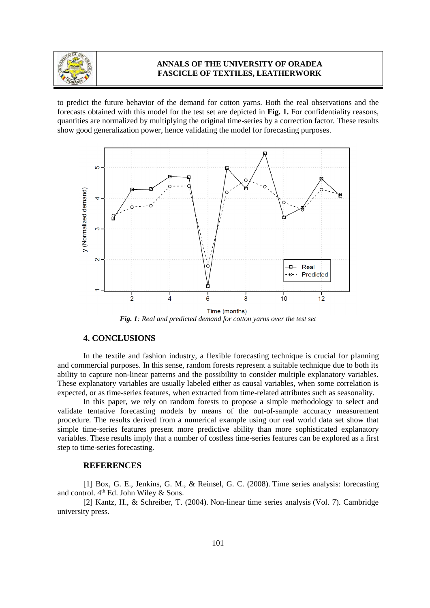

to predict the future behavior of the demand for cotton yarns. Both the real observations and the forecasts obtained with this model for the test set are depicted in **Fig. 1.** For confidentiality reasons, quantities are normalized by multiplying the original time-series by a correction factor. These results show good generalization power, hence validating the model for forecasting purposes.



Time (months) *Fig. 1: Real and predicted demand for cotton yarns over the test set*

# **4. CONCLUSIONS**

In the textile and fashion industry, a flexible forecasting technique is crucial for planning and commercial purposes. In this sense, random forests represent a suitable technique due to both its ability to capture non-linear patterns and the possibility to consider multiple explanatory variables. These explanatory variables are usually labeled either as causal variables, when some correlation is expected, or as time-series features, when extracted from time-related attributes such as seasonality.

In this paper, we rely on random forests to propose a simple methodology to select and validate tentative forecasting models by means of the out-of-sample accuracy measurement procedure. The results derived from a numerical example using our real world data set show that simple time-series features present more predictive ability than more sophisticated explanatory variables. These results imply that a number of costless time-series features can be explored as a first step to time-series forecasting.

#### **REFERENCES**

[1] Box, G. E., Jenkins, G. M., & Reinsel, G. C. (2008). Time series analysis: forecasting and control. 4<sup>th</sup> Ed. John Wiley & Sons.

[2] Kantz, H., & Schreiber, T. (2004). Non-linear time series analysis (Vol. 7). Cambridge university press.